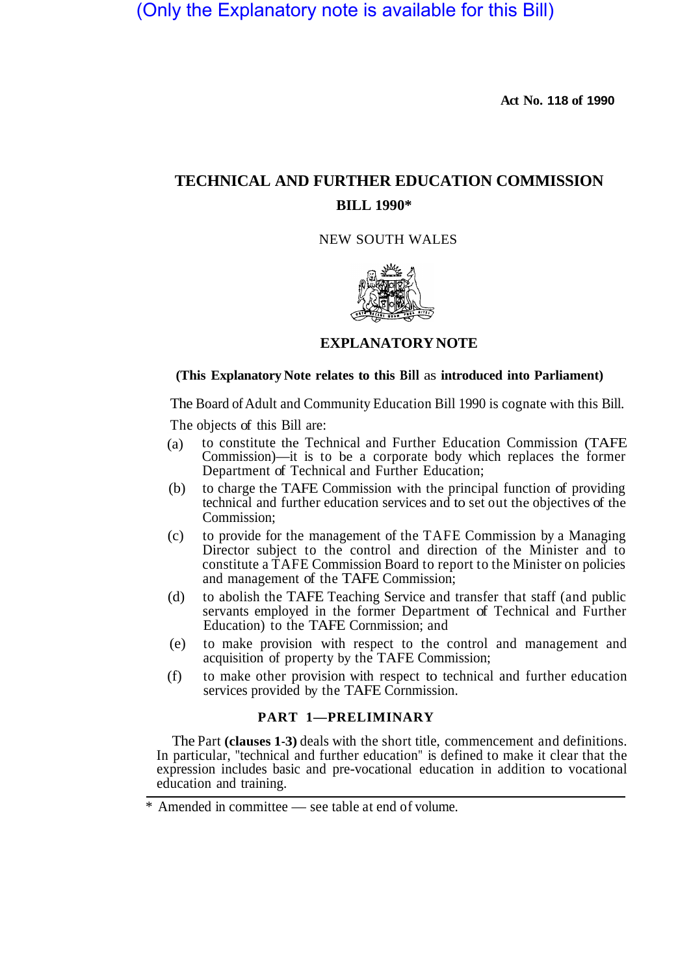(Only the Explanatory note is available for this Bill)

**Act No. 118 of 1990** 

# **TECHNICAL AND FURTHER EDUCATION COMMISSION BILL 1990\***

NEW SOUTH WALES



#### **EXPLANATORY NOTE**

## **(This Explanatory Note relates to this Bill** as **introduced into Parliament)**

The Board of Adult and Community Education Bill 1990 is cognate with this Bill.

The objects of this Bill are:

- to constitute the Technical and Further Education Commission (TAFE Commission)—it is to be a corporate body which replaces the former Department of Technical and Further Education; (a)
- to charge the TAFE Commission with the principal function of providing technical and further education services and to set out the objectives of the Commission; (b)
- to provide for the management of the TAFE Commission by a Managing Director subject to the control and direction of the Minister and to constitute a TAFE Commission Board to report to the Minister on policies and management of the TAFE Commission; (c)
- to abolish the TAFE Teaching Service and transfer that staff (and public servants employed in the former Department of Technical and Further Education) to the TAFE Cornmission; and (d)
- to make provision with respect to the control and management and acquisition of property by the TAFE Commission; (e)
- to make other provision with respect to technical and further education services provided by the TAFE Cornmission. (f)

# **PART 1—PRELIMINARY**

The Part **(clauses 1-3)** deals with the short title, commencement and definitions. In particular, "technical and further education" is defined to make it clear that the expression includes basic and pre-vocational education in addition to vocational education and training.

Amended in committee — see table at end of volume.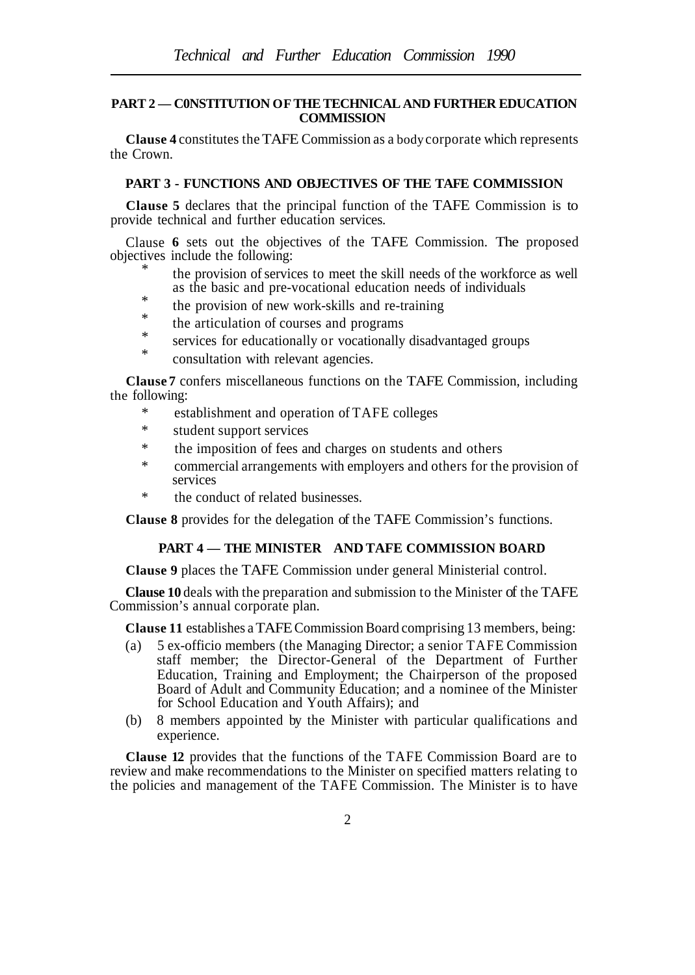### **PART 2 — C0NSTITUTION OF THE TECHNICAL AND FURTHER EDUCATION COMMISSION**

**Clause 4** constitutes the TAFE Commission as a body corporate which represents the Crown.

## **PART 3 - FUNCTIONS AND OBJECTIVES OF THE TAFE COMMISSION**

**Clause 5** declares that the principal function of the TAFE Commission is to provide technical and further education services.

Clause **6** sets out the objectives of the TAFE Commission. The proposed objectives include the following: \*

- the provision of services to meet the skill needs of the workforce as well as the basic and pre-vocational education needs of individuals
- \* \* the provision of new work-skills and re-training
- the articulation of courses and programs
- \* services for educationally or vocationally disadvantaged groups
- \* consultation with relevant agencies.

**Clause 7** confers miscellaneous functions on the TAFE Commission, including the following:

- \* establishment and operation of TAFE colleges
- \* student support services
- \* the imposition of fees and charges on students and others
- \* commercial arrangements with employers and others for the provision of services
- \* the conduct of related businesses.

**Clause 8** provides for the delegation of the TAFE Commission's functions.

## **PART 4 — THE MINISTER AND TAFE COMMISSION BOARD**

**Clause 9** places the TAFE Commission under general Ministerial control.

**Clause 10** deals with the preparation and submission to the Minister of the TAFE Commission's annual corporate plan.

**Clause 11** establishes a TAFE Commission Board comprising 13 members, being:

- (a) 5 ex-officio members (the Managing Director; a senior TAFE Commission staff member; the Director-General of the Department of Further Education, Training and Employment; the Chairperson of the proposed Board of Adult and Community Education; and a nominee of the Minister for School Education and Youth Affairs); and
- (b) 8 members appointed by the Minister with particular qualifications and experience.

**Clause 12** provides that the functions of the TAFE Commission Board are to review and make recommendations to the Minister on specified matters relating to the policies and management of the TAFE Commission. The Minister is to have